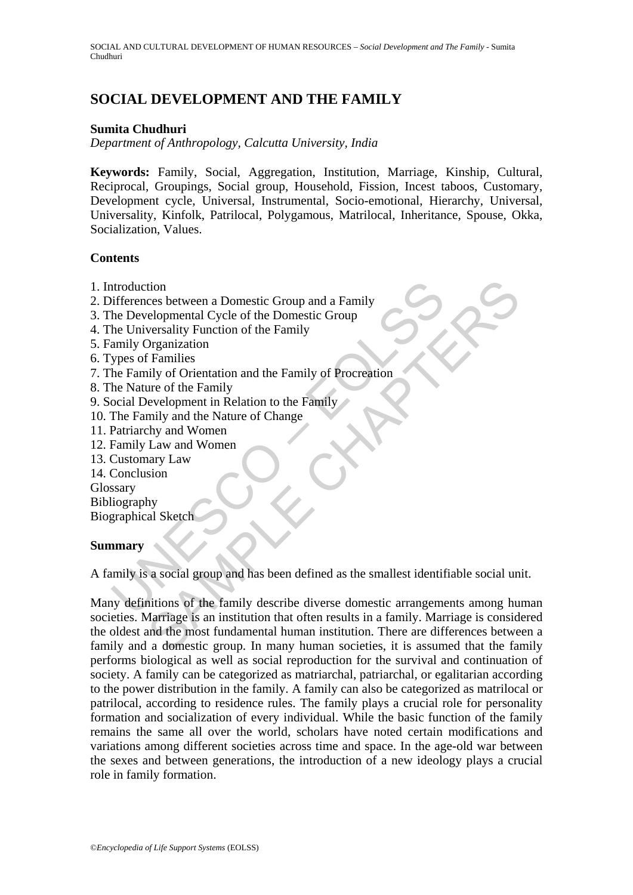# **SOCIAL DEVELOPMENT AND THE FAMILY**

#### **Sumita Chudhuri**

*Department of Anthropology, Calcutta University, India* 

**Keywords:** Family, Social, Aggregation, Institution, Marriage, Kinship, Cultural, Reciprocal, Groupings, Social group, Household, Fission, Incest taboos, Customary, Development cycle, Universal, Instrumental, Socio-emotional, Hierarchy, Universal, Universality, Kinfolk, Patrilocal, Polygamous, Matrilocal, Inheritance, Spouse, Okka, Socialization, Values.

#### **Contents**

- 1. Introduction
- 2. Differences between a Domestic Group and a Family
- 3. The Developmental Cycle of the Domestic Group
- 4. The Universality Function of the Family
- 5. Family Organization
- 6. Types of Families
- 7. The Family of Orientation and the Family of Procreation
- 8. The Nature of the Family
- 9. Social Development in Relation to the Family
- 10. The Family and the Nature of Change
- 11. Patriarchy and Women
- 12. Family Law and Women
- 13. Customary Law
- 14. Conclusion
- Glossary
- Bibliography
- Biographical Sketch

#### **Summary**

A family is a social group and has been defined as the smallest identifiable social unit.

ntroduction<br>
infferences between a Domestic Group and a Family<br>
he Developmental Cycle of the Domestic Group<br>
he Universality Function of the Family<br>
amily Organization<br>
ypes of Families<br>
he Family of Orientation and the F tion<br>
to consider a Domestic Group and a Family<br>
eversality Function of the Family<br>
Dreamization<br>
Tramilies<br>
Tramilies<br>
Tramilies<br>
Tramilies<br>
Orientation and the Family<br>
and the Nature of Change<br>
they and the Nature of Cha Many definitions of the family describe diverse domestic arrangements among human societies. Marriage is an institution that often results in a family. Marriage is considered the oldest and the most fundamental human institution. There are differences between a family and a domestic group. In many human societies, it is assumed that the family performs biological as well as social reproduction for the survival and continuation of society. A family can be categorized as matriarchal, patriarchal, or egalitarian according to the power distribution in the family. A family can also be categorized as matrilocal or patrilocal, according to residence rules. The family plays a crucial role for personality formation and socialization of every individual. While the basic function of the family remains the same all over the world, scholars have noted certain modifications and variations among different societies across time and space. In the age-old war between the sexes and between generations, the introduction of a new ideology plays a crucial role in family formation.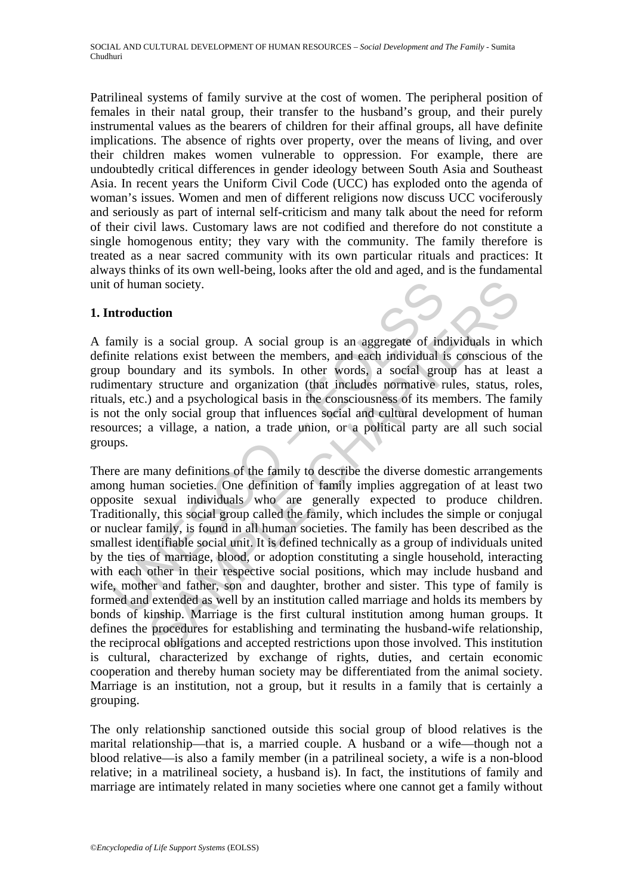Patrilineal systems of family survive at the cost of women. The peripheral position of females in their natal group, their transfer to the husband's group, and their purely instrumental values as the bearers of children for their affinal groups, all have definite implications. The absence of rights over property, over the means of living, and over their children makes women vulnerable to oppression. For example, there are undoubtedly critical differences in gender ideology between South Asia and Southeast Asia. In recent years the Uniform Civil Code (UCC) has exploded onto the agenda of woman's issues. Women and men of different religions now discuss UCC vociferously and seriously as part of internal self-criticism and many talk about the need for reform of their civil laws. Customary laws are not codified and therefore do not constitute a single homogenous entity; they vary with the community. The family therefore is treated as a near sacred community with its own particular rituals and practices: It always thinks of its own well-being, looks after the old and aged, and is the fundamental unit of human society.

#### **1. Introduction**

A family is a social group. A social group is an aggregate of individuals in which definite relations exist between the members, and each individual is conscious of the group boundary and its symbols. In other words, a social group has at least a rudimentary structure and organization (that includes normative rules, status, roles, rituals, etc.) and a psychological basis in the consciousness of its members. The family is not the only social group that influences social and cultural development of human resources; a village, a nation, a trade union, or a political party are all such social groups.

of human society.<br>
atroduction<br>
amily is a social group. A social group is an aggregate of inc<br>
inte relations exist between the members, and each individual i<br>
p boundary and its symbols. In other words, a social group<br>
m an society.<br>
etion<br>
is a social group. A social group is an aggregate of individuals in w<br>
atomos exist between the members, and each individual is conscious of<br>
individuals in the mark of the members, and each individual There are many definitions of the family to describe the diverse domestic arrangements among human societies. One definition of family implies aggregation of at least two opposite sexual individuals who are generally expected to produce children. Traditionally, this social group called the family, which includes the simple or conjugal or nuclear family, is found in all human societies. The family has been described as the smallest identifiable social unit. It is defined technically as a group of individuals united by the ties of marriage, blood, or adoption constituting a single household, interacting with each other in their respective social positions, which may include husband and wife, mother and father, son and daughter, brother and sister. This type of family is formed and extended as well by an institution called marriage and holds its members by bonds of kinship. Marriage is the first cultural institution among human groups. It defines the procedures for establishing and terminating the husband-wife relationship, the reciprocal obligations and accepted restrictions upon those involved. This institution is cultural, characterized by exchange of rights, duties, and certain economic cooperation and thereby human society may be differentiated from the animal society. Marriage is an institution, not a group, but it results in a family that is certainly a grouping.

The only relationship sanctioned outside this social group of blood relatives is the marital relationship—that is, a married couple. A husband or a wife—though not a blood relative—is also a family member (in a patrilineal society, a wife is a non-blood relative; in a matrilineal society, a husband is). In fact, the institutions of family and marriage are intimately related in many societies where one cannot get a family without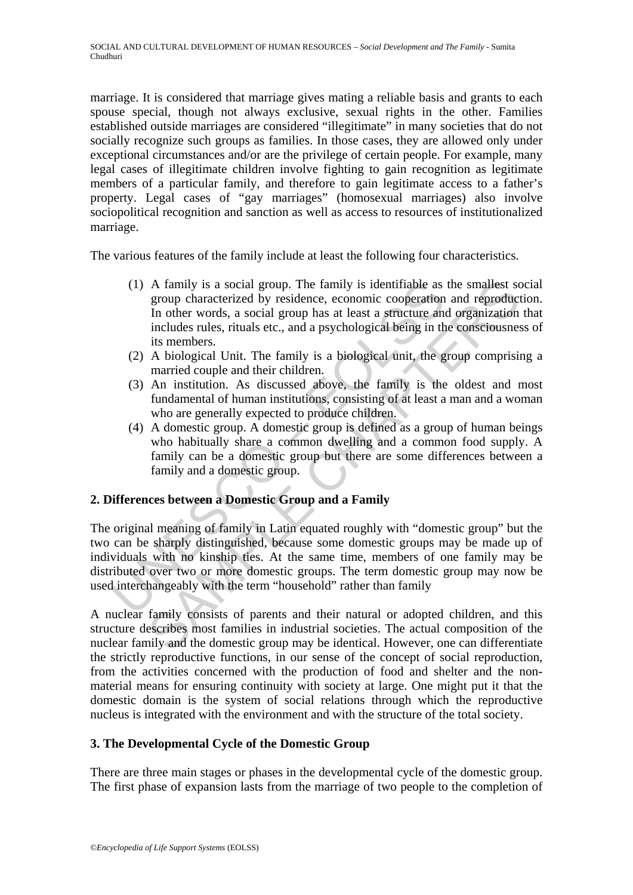marriage. It is considered that marriage gives mating a reliable basis and grants to each spouse special, though not always exclusive, sexual rights in the other. Families established outside marriages are considered "illegitimate" in many societies that do not socially recognize such groups as families. In those cases, they are allowed only under exceptional circumstances and/or are the privilege of certain people. For example, many legal cases of illegitimate children involve fighting to gain recognition as legitimate members of a particular family, and therefore to gain legitimate access to a father's property. Legal cases of "gay marriages" (homosexual marriages) also involve sociopolitical recognition and sanction as well as access to resources of institutionalized marriage.

The various features of the family include at least the following four characteristics.

- (1) A family is a social group. The family is identifiable as the smallest social group characterized by residence, economic cooperation and reproduction. In other words, a social group has at least a structure and organization that includes rules, rituals etc., and a psychological being in the consciousness of its members.
- (2) A biological Unit. The family is a biological unit, the group comprising a married couple and their children.
- (3) An institution. As discussed above, the family is the oldest and most fundamental of human institutions, consisting of at least a man and a woman who are generally expected to produce children.
- (4) A domestic group. A domestic group is defined as a group of human beings who habitually share a common dwelling and a common food supply. A family can be a domestic group but there are some differences between a family and a domestic group.

## **2. Differences between a Domestic Group and a Family**

(1) A family is a social group. The family is identifiable as<br>group characterized by residence, economic cooperation<br>In other words, a social group has at least a structure am<br>includes rules, rituals etc., and a psycholog A family is a social group. The family is identifiable as the smallest st group characterized by residence, economic cooperation and reproduction includes rules, it in other words, a social group has at least a structure a The original meaning of family in Latin equated roughly with "domestic group" but the two can be sharply distinguished, because some domestic groups may be made up of individuals with no kinship ties. At the same time, members of one family may be distributed over two or more domestic groups. The term domestic group may now be used interchangeably with the term "household" rather than family

A nuclear family consists of parents and their natural or adopted children, and this structure describes most families in industrial societies. The actual composition of the nuclear family and the domestic group may be identical. However, one can differentiate the strictly reproductive functions, in our sense of the concept of social reproduction, from the activities concerned with the production of food and shelter and the nonmaterial means for ensuring continuity with society at large. One might put it that the domestic domain is the system of social relations through which the reproductive nucleus is integrated with the environment and with the structure of the total society.

## **3. The Developmental Cycle of the Domestic Group**

There are three main stages or phases in the developmental cycle of the domestic group. The first phase of expansion lasts from the marriage of two people to the completion of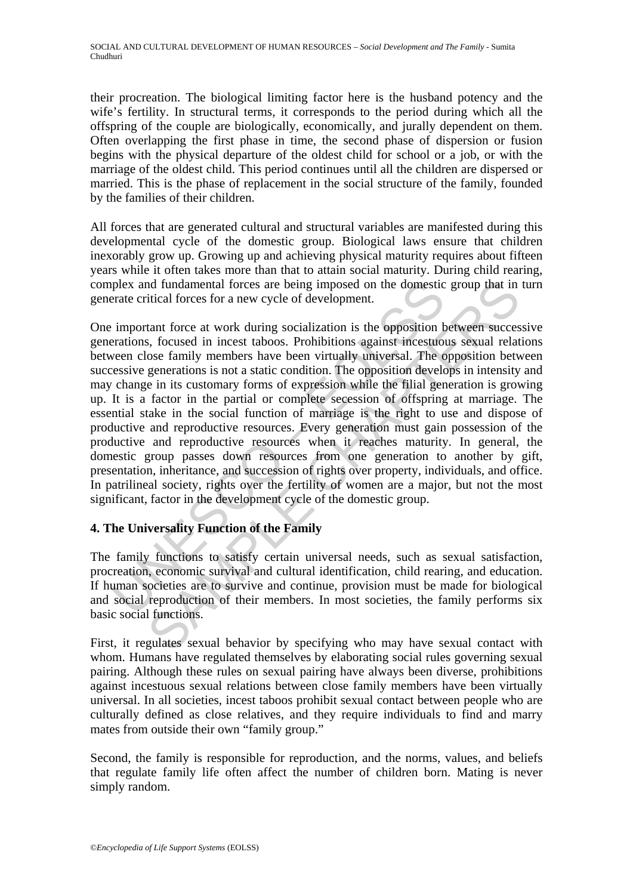their procreation. The biological limiting factor here is the husband potency and the wife's fertility. In structural terms, it corresponds to the period during which all the offspring of the couple are biologically, economically, and jurally dependent on them. Often overlapping the first phase in time, the second phase of dispersion or fusion begins with the physical departure of the oldest child for school or a job, or with the marriage of the oldest child. This period continues until all the children are dispersed or married. This is the phase of replacement in the social structure of the family, founded by the families of their children.

All forces that are generated cultural and structural variables are manifested during this developmental cycle of the domestic group. Biological laws ensure that children inexorably grow up. Growing up and achieving physical maturity requires about fifteen years while it often takes more than that to attain social maturity. During child rearing, complex and fundamental forces are being imposed on the domestic group that in turn generate critical forces for a new cycle of development.

plex and fundamental forces are being imposed on the domestic<br>erate critical forces for a new cycle of development.<br>
important force at work during socialization is the opposition<br>
berations, focused in incest taboos. Proh nd fundamental forces are being imposed on the domestic group that in<br>titical forces for a new cycle of development.<br>tant force at work during socialization is the opposition between success, focused in incest taboos. Proh One important force at work during socialization is the opposition between successive generations, focused in incest taboos. Prohibitions against incestuous sexual relations between close family members have been virtually universal. The opposition between successive generations is not a static condition. The opposition develops in intensity and may change in its customary forms of expression while the filial generation is growing up. It is a factor in the partial or complete secession of offspring at marriage. The essential stake in the social function of marriage is the right to use and dispose of productive and reproductive resources. Every generation must gain possession of the productive and reproductive resources when it reaches maturity. In general, the domestic group passes down resources from one generation to another by gift, presentation, inheritance, and succession of rights over property, individuals, and office. In patrilineal society, rights over the fertility of women are a major, but not the most significant, factor in the development cycle of the domestic group.

## **4. The Universality Function of the Family**

The family functions to satisfy certain universal needs, such as sexual satisfaction, procreation, economic survival and cultural identification, child rearing, and education. If human societies are to survive and continue, provision must be made for biological and social reproduction of their members. In most societies, the family performs six basic social functions.

First, it regulates sexual behavior by specifying who may have sexual contact with whom. Humans have regulated themselves by elaborating social rules governing sexual pairing. Although these rules on sexual pairing have always been diverse, prohibitions against incestuous sexual relations between close family members have been virtually universal. In all societies, incest taboos prohibit sexual contact between people who are culturally defined as close relatives, and they require individuals to find and marry mates from outside their own "family group."

Second, the family is responsible for reproduction, and the norms, values, and beliefs that regulate family life often affect the number of children born. Mating is never simply random.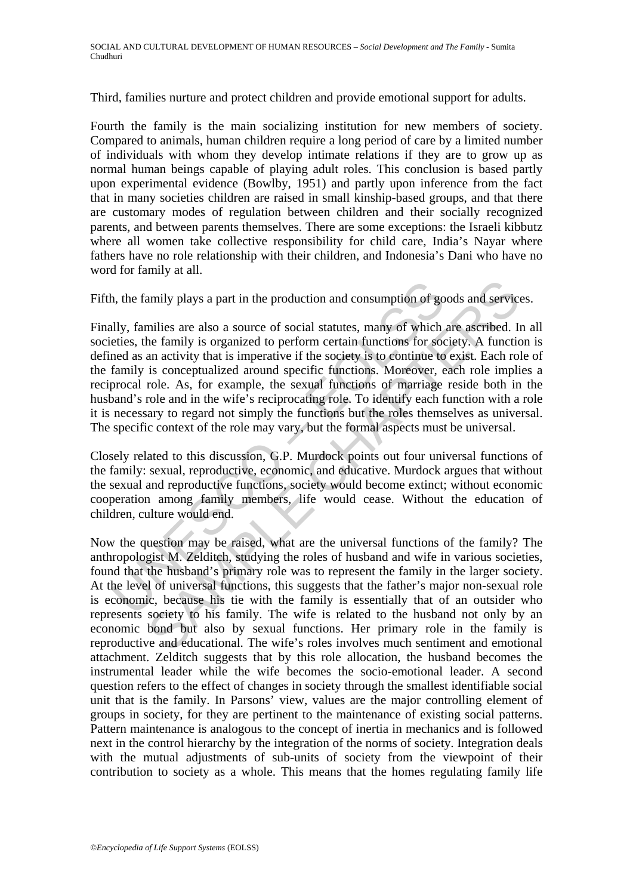Third, families nurture and protect children and provide emotional support for adults.

Fourth the family is the main socializing institution for new members of society. Compared to animals, human children require a long period of care by a limited number of individuals with whom they develop intimate relations if they are to grow up as normal human beings capable of playing adult roles. This conclusion is based partly upon experimental evidence (Bowlby, 1951) and partly upon inference from the fact that in many societies children are raised in small kinship-based groups, and that there are customary modes of regulation between children and their socially recognized parents, and between parents themselves. There are some exceptions: the Israeli kibbutz where all women take collective responsibility for child care, India's Nayar where fathers have no role relationship with their children, and Indonesia's Dani who have no word for family at all.

Fifth, the family plays a part in the production and consumption of goods and services.

h, the family plays a part in the production and consumption of go<br>ally, families are also a source of social statutes, many of which<br>eties, the family is organized to perform certain functions for soc<br>ned as an activity t Finally, families are also a source of social statutes, many of which are ascribed. In all societies, the family is organized to perform certain functions for society. A function is defined as an activity that is imperative if the society is to continue to exist. Each role of the family is conceptualized around specific functions. Moreover, each role implies a reciprocal role. As, for example, the sexual functions of marriage reside both in the husband's role and in the wife's reciprocating role. To identify each function with a role it is necessary to regard not simply the functions but the roles themselves as universal. The specific context of the role may vary, but the formal aspects must be universal.

Closely related to this discussion, G.P. Murdock points out four universal functions of the family: sexual, reproductive, economic, and educative. Murdock argues that without the sexual and reproductive functions, society would become extinct; without economic cooperation among family members, life would cease. Without the education of children, culture would end.

amily plays a part in the production and consumption of goods and servic<br>milies are also a source of social statutes, many of which are ascribed. In<br>the family is organized to perform certain functions for society. A funct Now the question may be raised, what are the universal functions of the family? The anthropologist M. Zelditch, studying the roles of husband and wife in various societies, found that the husband's primary role was to represent the family in the larger society. At the level of universal functions, this suggests that the father's major non-sexual role is economic, because his tie with the family is essentially that of an outsider who represents society to his family. The wife is related to the husband not only by an economic bond but also by sexual functions. Her primary role in the family is reproductive and educational. The wife's roles involves much sentiment and emotional attachment. Zelditch suggests that by this role allocation, the husband becomes the instrumental leader while the wife becomes the socio-emotional leader. A second question refers to the effect of changes in society through the smallest identifiable social unit that is the family. In Parsons' view, values are the major controlling element of groups in society, for they are pertinent to the maintenance of existing social patterns. Pattern maintenance is analogous to the concept of inertia in mechanics and is followed next in the control hierarchy by the integration of the norms of society. Integration deals with the mutual adjustments of sub-units of society from the viewpoint of their contribution to society as a whole. This means that the homes regulating family life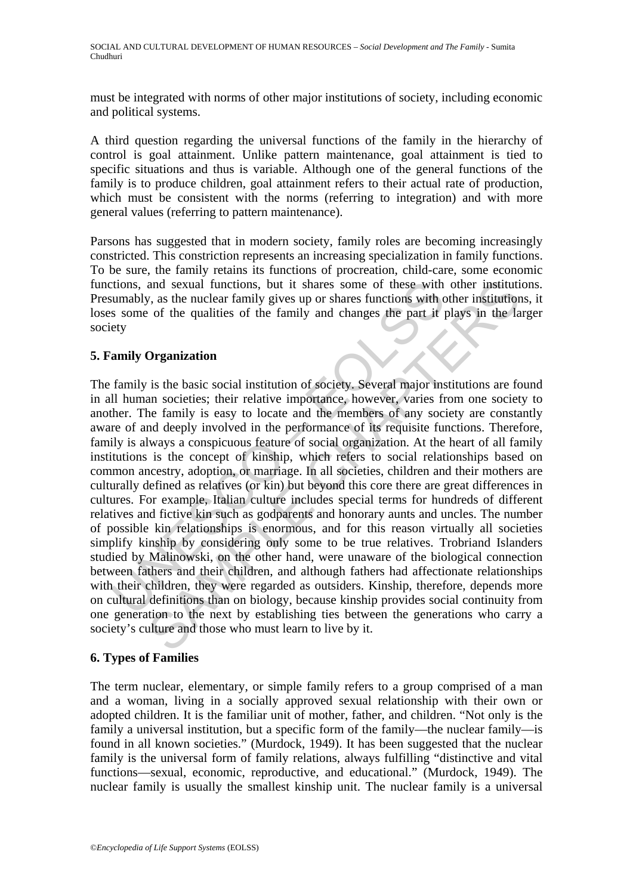must be integrated with norms of other major institutions of society, including economic and political systems.

A third question regarding the universal functions of the family in the hierarchy of control is goal attainment. Unlike pattern maintenance, goal attainment is tied to specific situations and thus is variable. Although one of the general functions of the family is to produce children, goal attainment refers to their actual rate of production, which must be consistent with the norms (referring to integration) and with more general values (referring to pattern maintenance).

Parsons has suggested that in modern society, family roles are becoming increasingly constricted. This constriction represents an increasing specialization in family functions. To be sure, the family retains its functions of procreation, child-care, some economic functions, and sexual functions, but it shares some of these with other institutions. Presumably, as the nuclear family gives up or shares functions with other institutions, it loses some of the qualities of the family and changes the part it plays in the larger society

#### **5. Family Organization**

comparison, and sexual functions, but it shares some of these with<br>
sumably, as the nuclear family gives up or shares functions with c<br>
s some of the qualities of the family and changes the part it<br>
ety<br>
amily Organization and sexual functions, but it shares some of these with other institutions, as the nuclear family gives up or shares functions with other institutions of the qualities of the family and changes the part it plays in the la O The family is the basic social institution of society. Several major institutions are found in all human societies; their relative importance, however, varies from one society to another. The family is easy to locate and the members of any society are constantly aware of and deeply involved in the performance of its requisite functions. Therefore, family is always a conspicuous feature of social organization. At the heart of all family institutions is the concept of kinship, which refers to social relationships based on common ancestry, adoption, or marriage. In all societies, children and their mothers are culturally defined as relatives (or kin) but beyond this core there are great differences in cultures. For example, Italian culture includes special terms for hundreds of different relatives and fictive kin such as godparents and honorary aunts and uncles. The number of possible kin relationships is enormous, and for this reason virtually all societies simplify kinship by considering only some to be true relatives. Trobriand Islanders studied by Malinowski, on the other hand, were unaware of the biological connection between fathers and their children, and although fathers had affectionate relationships with their children, they were regarded as outsiders. Kinship, therefore, depends more on cultural definitions than on biology, because kinship provides social continuity from one generation to the next by establishing ties between the generations who carry a society's culture and those who must learn to live by it.

## **6. Types of Families**

The term nuclear, elementary, or simple family refers to a group comprised of a man and a woman, living in a socially approved sexual relationship with their own or adopted children. It is the familiar unit of mother, father, and children. "Not only is the family a universal institution, but a specific form of the family—the nuclear family—is found in all known societies." (Murdock, 1949). It has been suggested that the nuclear family is the universal form of family relations, always fulfilling "distinctive and vital functions—sexual, economic, reproductive, and educational." (Murdock, 1949). The nuclear family is usually the smallest kinship unit. The nuclear family is a universal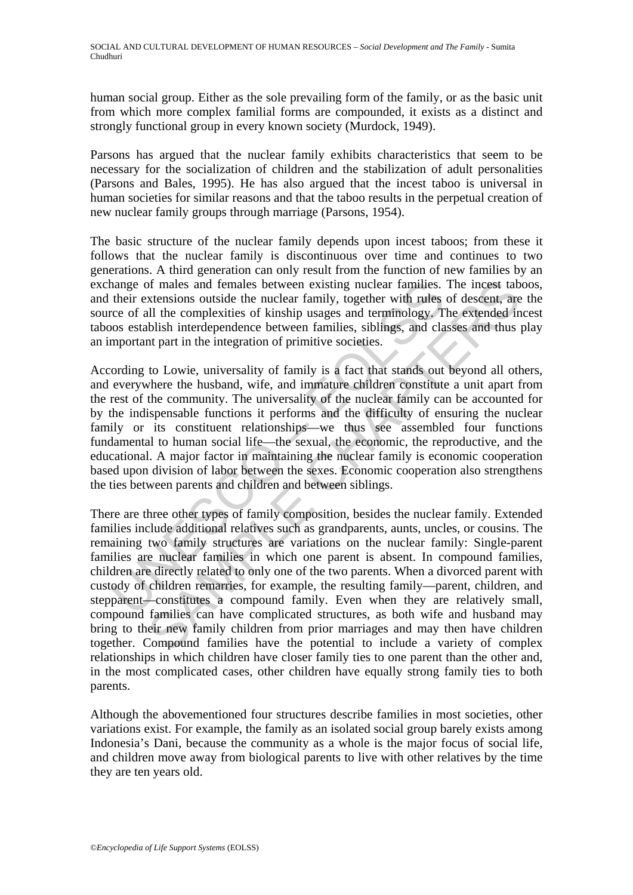human social group. Either as the sole prevailing form of the family, or as the basic unit from which more complex familial forms are compounded, it exists as a distinct and strongly functional group in every known society (Murdock, 1949).

Parsons has argued that the nuclear family exhibits characteristics that seem to be necessary for the socialization of children and the stabilization of adult personalities (Parsons and Bales, 1995). He has also argued that the incest taboo is universal in human societies for similar reasons and that the taboo results in the perpetual creation of new nuclear family groups through marriage (Parsons, 1954).

The basic structure of the nuclear family depends upon incest taboos; from these it follows that the nuclear family is discontinuous over time and continues to two generations. A third generation can only result from the function of new families by an exchange of males and females between existing nuclear families. The incest taboos, and their extensions outside the nuclear family, together with rules of descent, are the source of all the complexities of kinship usages and terminology. The extended incest taboos establish interdependence between families, siblings, and classes and thus play an important part in the integration of primitive societies.

nange of males and females between existing nuclear families.<br>their extensions outside the nuclear family, together with rules<br>cco of all the complexities of kinship usages and terminology. T<br>morotant part in the integrati According to Lowie, universality of family is a fact that stands out beyond all others, and everywhere the husband, wife, and immature children constitute a unit apart from the rest of the community. The universality of the nuclear family can be accounted for by the indispensable functions it performs and the difficulty of ensuring the nuclear family or its constituent relationships—we thus see assembled four functions fundamental to human social life—the sexual, the economic, the reproductive, and the educational. A major factor in maintaining the nuclear family is economic cooperation based upon division of labor between the sexes. Economic cooperation also strengthens the ties between parents and children and between siblings.

of males and females between existing nuclear families. The incest tab<br>
xitensions outside the nuclear familiy, together with rules of descent, are<br>
all the complexities of kinship usages and terminology. The extended in<br> There are three other types of family composition, besides the nuclear family. Extended families include additional relatives such as grandparents, aunts, uncles, or cousins. The remaining two family structures are variations on the nuclear family: Single-parent families are nuclear families in which one parent is absent. In compound families, children are directly related to only one of the two parents. When a divorced parent with custody of children remarries, for example, the resulting family—parent, children, and stepparent—constitutes a compound family. Even when they are relatively small, compound families can have complicated structures, as both wife and husband may bring to their new family children from prior marriages and may then have children together. Compound families have the potential to include a variety of complex relationships in which children have closer family ties to one parent than the other and, in the most complicated cases, other children have equally strong family ties to both parents.

Although the abovementioned four structures describe families in most societies, other variations exist. For example, the family as an isolated social group barely exists among Indonesia's Dani, because the community as a whole is the major focus of social life, and children move away from biological parents to live with other relatives by the time they are ten years old.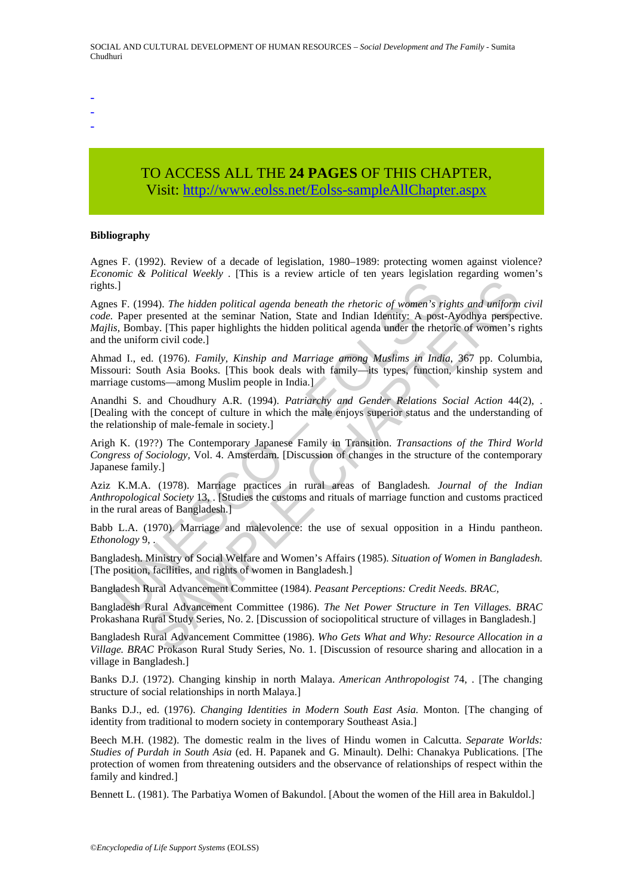- -
- -
- -

## TO ACCESS ALL THE **24 PAGES** OF THIS CHAPTER, Visit[: http://www.eolss.net/Eolss-sampleAllChapter.aspx](https://www.eolss.net/ebooklib/sc_cart.aspx?File=E1-11-02-04)

#### **Bibliography**

Agnes F. (1992). Review of a decade of legislation, 1980–1989: protecting women against violence? *Economic & Political Weekly* . [This is a review article of ten years legislation regarding women's rights.]

s.]<br>
s. J. Paper presented at the seminar Nation, State and Indian Identity: A post-<br> *Paper presented at the seminar Nation, State and Indian Identity: A post-<br>
is, Bombay.* [This paper highlights the hidden political age 94). The hidden political agenda beneath the rhetoric of women's rights and uniform<br>presented at the seminar Nation, State and Indian Identity: A post-Ayodhya perspective<br>may. [This paper highlights the hidden political ag Agnes F. (1994). *The hidden political agenda beneath the rhetoric of women's rights and uniform civil code.* Paper presented at the seminar Nation, State and Indian Identity: A post-Ayodhya perspective. *Majlis,* Bombay. [This paper highlights the hidden political agenda under the rhetoric of women's rights and the uniform civil code.]

Ahmad I., ed. (1976). *Family, Kinship and Marriage among Muslims in India*, 367 pp. Columbia, Missouri: South Asia Books. [This book deals with family—its types, function, kinship system and marriage customs—among Muslim people in India.]

Anandhi S. and Choudhury A.R. (1994). *Patriarchy and Gender Relations Social Action* 44(2), . [Dealing with the concept of culture in which the male enjoys superior status and the understanding of the relationship of male-female in society.]

Arigh K. (19??) The Contemporary Japanese Family in Transition. *Transactions of the Third World Congress of Sociology,* Vol. 4. Amsterdam. [Discussion of changes in the structure of the contemporary Japanese family.]

Aziz K.M.A. (1978). Marriage practices in rural areas of Bangladesh*. Journal of the Indian Anthropological Society* 13, . [Studies the customs and rituals of marriage function and customs practiced in the rural areas of Bangladesh.]

Babb L.A. (1970). Marriage and malevolence: the use of sexual opposition in a Hindu pantheon. *Ethonology* 9, .

Bangladesh. Ministry of Social Welfare and Women's Affairs (1985). *Situation of Women in Bangladesh.* [The position, facilities, and rights of women in Bangladesh.]

Bangladesh Rural Advancement Committee (1984). *Peasant Perceptions: Credit Needs. BRAC,*

Bangladesh Rural Advancement Committee (1986). *The Net Power Structure in Ten Villages. BRAC*  Prokashana Rural Study Series, No. 2. [Discussion of sociopolitical structure of villages in Bangladesh.]

Bangladesh Rural Advancement Committee (1986). *Who Gets What and Why: Resource Allocation in a Village. BRAC* Prokason Rural Study Series, No. 1. [Discussion of resource sharing and allocation in a village in Bangladesh.]

Banks D.J. (1972). Changing kinship in north Malaya. *American Anthropologist* 74, . [The changing structure of social relationships in north Malaya.]

Banks D.J., ed. (1976). *Changing Identities in Modern South East Asia.* Monton. [The changing of identity from traditional to modern society in contemporary Southeast Asia.]

Beech M.H. (1982). The domestic realm in the lives of Hindu women in Calcutta. *Separate Worlds: Studies of Purdah in South Asia* (ed. H. Papanek and G. Minault). Delhi: Chanakya Publications. [The protection of women from threatening outsiders and the observance of relationships of respect within the family and kindred.]

Bennett L. (1981). The Parbatiya Women of Bakundol. [About the women of the Hill area in Bakuldol.]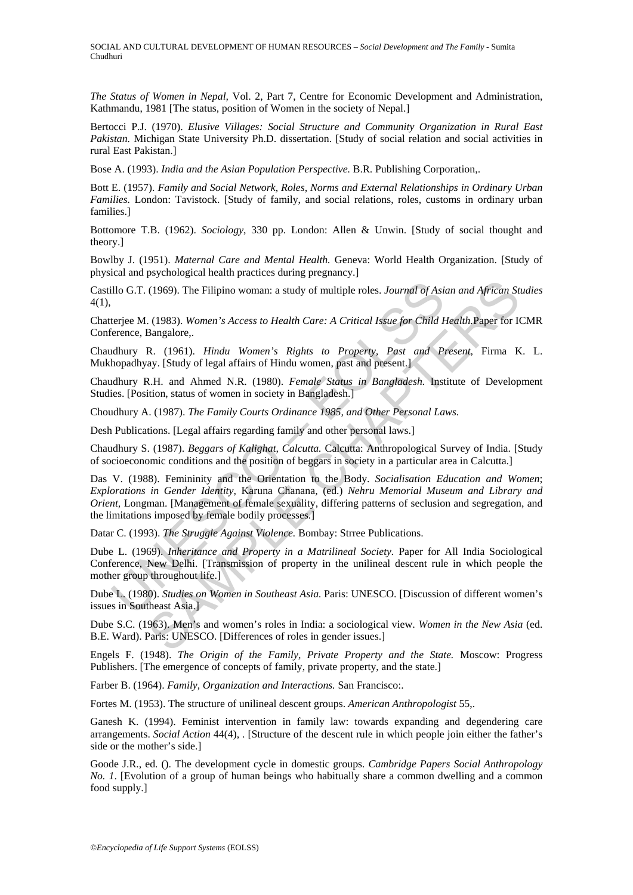SOCIAL AND CULTURAL DEVELOPMENT OF HUMAN RESOURCES – *Social Development and The Family* - Sumita Chudhuri

*The Status of Women in Nepal,* Vol. 2, Part 7, Centre for Economic Development and Administration, Kathmandu, 1981 [The status, position of Women in the society of Nepal.]

Bertocci P.J. (1970). *Elusive Villages: Social Structure and Community Organization in Rural East Pakistan.* Michigan State University Ph.D. dissertation. [Study of social relation and social activities in rural East Pakistan.]

Bose A. (1993). *India and the Asian Population Perspective.* B.R. Publishing Corporation,.

Bott E. (1957). *Family and Social Network, Roles, Norms and External Relationships in Ordinary Urban Families.* London: Tavistock. [Study of family, and social relations, roles, customs in ordinary urban families.]

Bottomore T.B. (1962). *Sociology*, 330 pp. London: Allen & Unwin. [Study of social thought and theory.]

Bowlby J. (1951). *Maternal Care and Mental Health.* Geneva: World Health Organization. [Study of physical and psychological health practices during pregnancy.]

Castillo G.T. (1969). The Filipino woman: a study of multiple roles. *Journal of Asian and African Studies* 4(1),

Chatterjee M. (1983). *Women's Access to Health Care: A Critical Issue for Child Health.*Paper for ICMR Conference, Bangalore,.

Chaudhury R. (1961). *Hindu Women's Rights to Property, Past and Present,* Firma K. L. Mukhopadhyay. [Study of legal affairs of Hindu women, past and present.]

Chaudhury R.H. and Ahmed N.R. (1980). *Female Status in Bangladesh.* Institute of Development Studies. [Position, status of women in society in Bangladesh.]

Choudhury A. (1987). *The Family Courts Ordinance 1985, and Other Personal Laws.* 

Desh Publications. [Legal affairs regarding family and other personal laws.]

Chaudhury S. (1987). *Beggars of Kalighat, Calcutta.* Calcutta: Anthropological Survey of India. [Study of socioeconomic conditions and the position of beggars in society in a particular area in Calcutta.]

illo G.T. (1969). The Filipino woman: a study of multiple roles. *Journal of Asia*<br>terjee M. (1983). Women's Access to Health Care: A Critical Issue for Child Eirence, Bangalore,<br>reference, Bangalore,  $\mu$  (1961). *Hindu W* (1969). The Filipino woman: a study of multiple roles. *Journal of Asian and African St.* (1983). *Women's Access to Health Care: A Critical Issue for Critid Health Paper Tor IG*. (1983). *Women's Access to Health Care: A* Das V. (1988). Femininity and the Orientation to the Body. *Socialisation Education and Women*; *Explorations in Gender Identity,* Karuna Chanana, (ed.) *Nehru Memorial Museum and Library and Orient,* Longman. [Management of female sexuality, differing patterns of seclusion and segregation, and the limitations imposed by female bodily processes.]

Datar C. (1993). *The Struggle Against Violence.* Bombay: Strree Publications.

Dube L. (1969). *Inheritance and Property in a Matrilineal Society.* Paper for All India Sociological Conference, New Delhi. [Transmission of property in the unilineal descent rule in which people the mother group throughout life.]

Dube L. (1980). *Studies on Women in Southeast Asia.* Paris: UNESCO. [Discussion of different women's issues in Southeast Asia.]

Dube S.C. (1963). Men's and women's roles in India: a sociological view. *Women in the New Asia* (ed. B.E. Ward). Paris: UNESCO. [Differences of roles in gender issues.]

Engels F. (1948). *The Origin of the Family, Private Property and the State.* Moscow: Progress Publishers. [The emergence of concepts of family, private property, and the state.]

Farber B. (1964). *Family, Organization and Interactions.* San Francisco:.

Fortes M. (1953). The structure of unilineal descent groups. *American Anthropologist* 55,.

Ganesh K. (1994). Feminist intervention in family law: towards expanding and degendering care arrangements. *Social Action* 44(4), . [Structure of the descent rule in which people join either the father's side or the mother's side.]

Goode J.R., ed. (). The development cycle in domestic groups. *Cambridge Papers Social Anthropology No. 1*. [Evolution of a group of human beings who habitually share a common dwelling and a common food supply.]